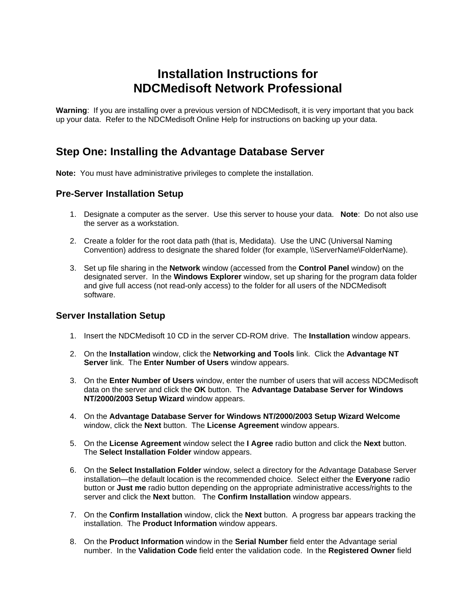# **Installation Instructions for NDCMedisoft Network Professional**

**Warning**: If you are installing over a previous version of NDCMedisoft, it is very important that you back up your data. Refer to the NDCMedisoft Online Help for instructions on backing up your data.

### **Step One: Installing the Advantage Database Server**

**Note:** You must have administrative privileges to complete the installation.

#### **Pre-Server Installation Setup**

- 1. Designate a computer as the server. Use this server to house your data. **Note**: Do not also use the server as a workstation.
- 2. Create a folder for the root data path (that is, Medidata). Use the UNC (Universal Naming Convention) address to designate the shared folder (for example, \\ServerName\FolderName).
- 3. Set up file sharing in the **Network** window (accessed from the **Control Panel** window) on the designated server. In the **Windows Explorer** window, set up sharing for the program data folder and give full access (not read-only access) to the folder for all users of the NDCMedisoft software.

#### **Server Installation Setup**

- 1. Insert the NDCMedisoft 10 CD in the server CD-ROM drive. The **Installation** window appears.
- 2. On the **Installation** window, click the **Networking and Tools** link. Click the **Advantage NT Server** link. The **Enter Number of Users** window appears.
- 3. On the **Enter Number of Users** window, enter the number of users that will access NDCMedisoft data on the server and click the **OK** button. The **Advantage Database Server for Windows NT/2000/2003 Setup Wizard** window appears.
- 4. On the **Advantage Database Server for Windows NT/2000/2003 Setup Wizard Welcome** window, click the **Next** button. The **License Agreement** window appears.
- 5. On the **License Agreement** window select the **I Agree** radio button and click the **Next** button. The **Select Installation Folder** window appears.
- 6. On the **Select Installation Folder** window, select a directory for the Advantage Database Server installation—the default location is the recommended choice. Select either the **Everyone** radio button or **Just me** radio button depending on the appropriate administrative access/rights to the server and click the **Next** button. The **Confirm Installation** window appears.
- 7. On the **Confirm Installation** window, click the **Next** button. A progress bar appears tracking the installation. The **Product Information** window appears.
- 8. On the **Product Information** window in the **Serial Number** field enter the Advantage serial number. In the **Validation Code** field enter the validation code. In the **Registered Owner** field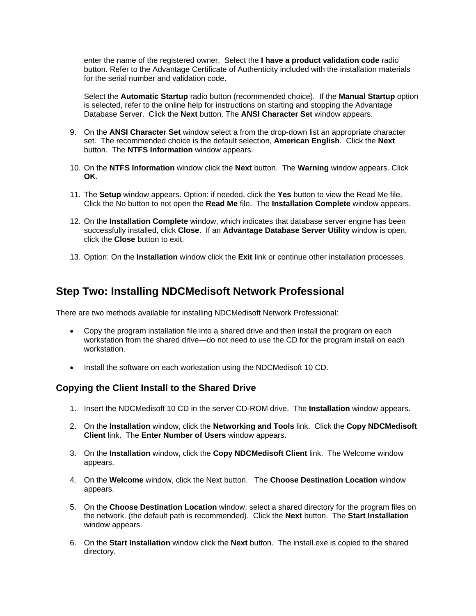enter the name of the registered owner. Select the **I have a product validation code** radio button. Refer to the Advantage Certificate of Authenticity included with the installation materials for the serial number and validation code.

Select the **Automatic Startup** radio button (recommended choice). If the **Manual Startup** option is selected, refer to the online help for instructions on starting and stopping the Advantage Database Server. Click the **Next** button. The **ANSI Character Set** window appears.

- 9. On the **ANSI Character Set** window select a from the drop-down list an appropriate character set. The recommended choice is the default selection, **American English**. Click the **Next** button. The **NTFS Information** window appears.
- 10. On the **NTFS Information** window click the **Next** button. The **Warning** window appears. Click **OK**.
- 11. The **Setup** window appears. Option: if needed, click the **Yes** button to view the Read Me file. Click the No button to not open the **Read Me** file. The **Installation Complete** window appears.
- 12. On the **Installation Complete** window, which indicates that database server engine has been successfully installed, click **Close**. If an **Advantage Database Server Utility** window is open, click the **Close** button to exit.
- 13. Option: On the **Installation** window click the **Exit** link or continue other installation processes.

## **Step Two: Installing NDCMedisoft Network Professional**

There are two methods available for installing NDCMedisoft Network Professional:

- Copy the program installation file into a shared drive and then install the program on each workstation from the shared drive—do not need to use the CD for the program install on each workstation.
- Install the software on each workstation using the NDCMedisoft 10 CD.

### **Copying the Client Install to the Shared Drive**

- 1. Insert the NDCMedisoft 10 CD in the server CD-ROM drive. The **Installation** window appears.
- 2. On the **Installation** window, click the **Networking and Tools** link. Click the **Copy NDCMedisoft Client** link. The **Enter Number of Users** window appears.
- 3. On the **Installation** window, click the **Copy NDCMedisoft Client** link. The Welcome window appears.
- 4. On the **Welcome** window, click the Next button. The **Choose Destination Location** window appears.
- 5. On the **Choose Destination Location** window, select a shared directory for the program files on the network. (the default path is recommended). Click the **Next** button. The **Start Installation** window appears.
- 6. On the **Start Installation** window click the **Next** button. The install.exe is copied to the shared directory.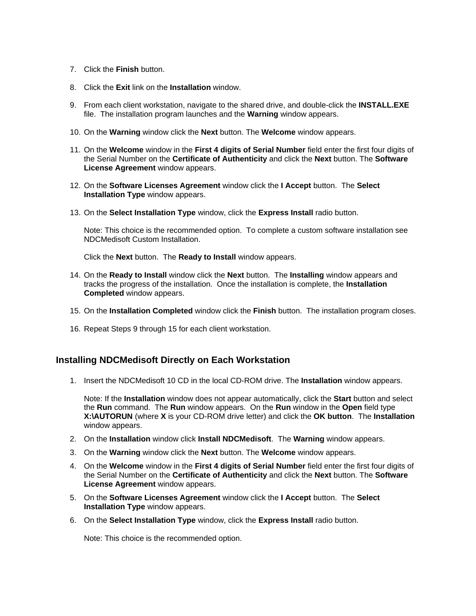- 7. Click the **Finish** button.
- 8. Click the **Exit** link on the **Installation** window.
- 9. From each client workstation, navigate to the shared drive, and double-click the **INSTALL.EXE** file. The installation program launches and the **Warning** window appears.
- 10. On the **Warning** window click the **Next** button. The **Welcome** window appears.
- 11. On the **Welcome** window in the **First 4 digits of Serial Number** field enter the first four digits of the Serial Number on the **Certificate of Authenticity** and click the **Next** button. The **Software License Agreement** window appears.
- 12. On the **Software Licenses Agreement** window click the **I Accept** button. The **Select Installation Type** window appears.
- 13. On the **Select Installation Type** window, click the **Express Install** radio button.

Note: This choice is the recommended option. To complete a custom software installation see NDCMedisoft Custom Installation.

Click the **Next** button. The **Ready to Install** window appears.

- 14. On the **Ready to Install** window click the **Next** button. The **Installing** window appears and tracks the progress of the installation. Once the installation is complete, the **Installation Completed** window appears.
- 15. On the **Installation Completed** window click the **Finish** button. The installation program closes.
- 16. Repeat Steps 9 through 15 for each client workstation.

#### **Installing NDCMedisoft Directly on Each Workstation**

1. Insert the NDCMedisoft 10 CD in the local CD-ROM drive. The **Installation** window appears.

Note: If the **Installation** window does not appear automatically, click the **Start** button and select the **Run** command. The **Run** window appears. On the **Run** window in the **Open** field type **X:\AUTORUN** (where **X** is your CD-ROM drive letter) and click the **OK button**. The **Installation** window appears.

- 2. On the **Installation** window click **Install NDCMedisoft**. The **Warning** window appears.
- 3. On the **Warning** window click the **Next** button. The **Welcome** window appears.
- 4. On the **Welcome** window in the **First 4 digits of Serial Number** field enter the first four digits of the Serial Number on the **Certificate of Authenticity** and click the **Next** button. The **Software License Agreement** window appears.
- 5. On the **Software Licenses Agreement** window click the **I Accept** button. The **Select Installation Type** window appears.
- 6. On the **Select Installation Type** window, click the **Express Install** radio button.

Note: This choice is the recommended option.